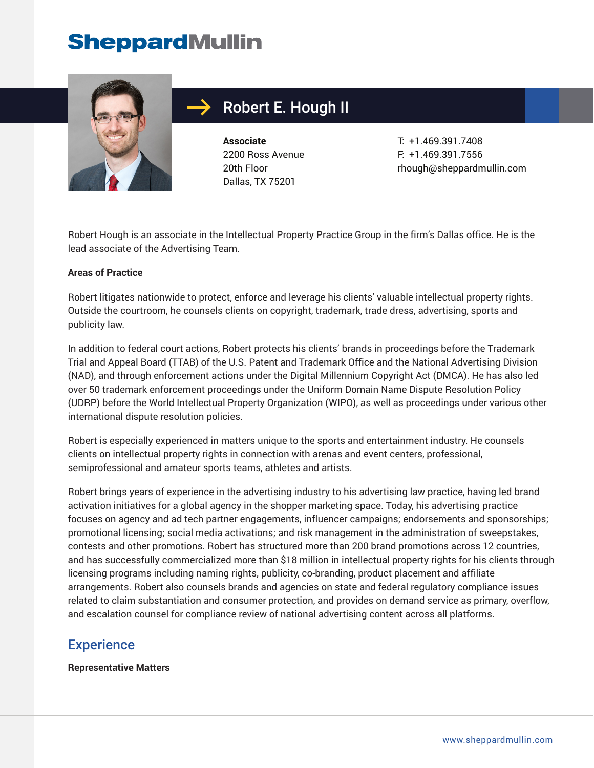

# Robert E. Hough II

**Associate** 2200 Ross Avenue 20th Floor Dallas, TX 75201

T: +1.469.391.7408 F: +1.469.391.7556 rhough@sheppardmullin.com

Robert Hough is an associate in the Intellectual Property Practice Group in the firm's Dallas office. He is the lead associate of the Advertising Team.

#### **Areas of Practice**

Robert litigates nationwide to protect, enforce and leverage his clients' valuable intellectual property rights. Outside the courtroom, he counsels clients on copyright, trademark, trade dress, advertising, sports and publicity law.

In addition to federal court actions, Robert protects his clients' brands in proceedings before the Trademark Trial and Appeal Board (TTAB) of the U.S. Patent and Trademark Office and the National Advertising Division (NAD), and through enforcement actions under the Digital Millennium Copyright Act (DMCA). He has also led over 50 trademark enforcement proceedings under the Uniform Domain Name Dispute Resolution Policy (UDRP) before the World Intellectual Property Organization (WIPO), as well as proceedings under various other international dispute resolution policies.

Robert is especially experienced in matters unique to the sports and entertainment industry. He counsels clients on intellectual property rights in connection with arenas and event centers, professional, semiprofessional and amateur sports teams, athletes and artists.

Robert brings years of experience in the advertising industry to his advertising law practice, having led brand activation initiatives for a global agency in the shopper marketing space. Today, his advertising practice focuses on agency and ad tech partner engagements, influencer campaigns; endorsements and sponsorships; promotional licensing; social media activations; and risk management in the administration of sweepstakes, contests and other promotions. Robert has structured more than 200 brand promotions across 12 countries, and has successfully commercialized more than \$18 million in intellectual property rights for his clients through licensing programs including naming rights, publicity, co-branding, product placement and affiliate arrangements. Robert also counsels brands and agencies on state and federal regulatory compliance issues related to claim substantiation and consumer protection, and provides on demand service as primary, overflow, and escalation counsel for compliance review of national advertising content across all platforms.

### **Experience**

**Representative Matters**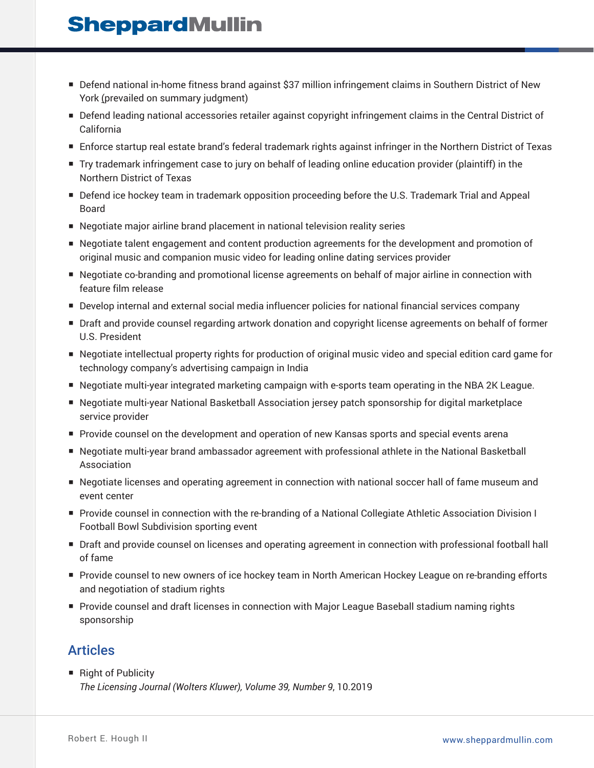- Defend national in-home fitness brand against \$37 million infringement claims in Southern District of New York (prevailed on summary judgment)
- Defend leading national accessories retailer against copyright infringement claims in the Central District of California
- Enforce startup real estate brand's federal trademark rights against infringer in the Northern District of Texas
- Try trademark infringement case to jury on behalf of leading online education provider (plaintiff) in the Northern District of Texas
- Defend ice hockey team in trademark opposition proceeding before the U.S. Trademark Trial and Appeal Board
- Negotiate major airline brand placement in national television reality series
- Negotiate talent engagement and content production agreements for the development and promotion of original music and companion music video for leading online dating services provider
- Negotiate co-branding and promotional license agreements on behalf of major airline in connection with feature film release
- Develop internal and external social media influencer policies for national financial services company
- Draft and provide counsel regarding artwork donation and copyright license agreements on behalf of former U.S. President
- Negotiate intellectual property rights for production of original music video and special edition card game for technology company's advertising campaign in India
- Negotiate multi-year integrated marketing campaign with e-sports team operating in the NBA 2K League.
- Negotiate multi-year National Basketball Association jersey patch sponsorship for digital marketplace service provider
- Provide counsel on the development and operation of new Kansas sports and special events arena
- Negotiate multi-year brand ambassador agreement with professional athlete in the National Basketball Association
- Negotiate licenses and operating agreement in connection with national soccer hall of fame museum and event center
- Provide counsel in connection with the re-branding of a National Collegiate Athletic Association Division I Football Bowl Subdivision sporting event
- Draft and provide counsel on licenses and operating agreement in connection with professional football hall of fame
- Provide counsel to new owners of ice hockey team in North American Hockey League on re-branding efforts and negotiation of stadium rights
- Provide counsel and draft licenses in connection with Major League Baseball stadium naming rights sponsorship

## **Articles**

■ Right of Publicity *The Licensing Journal (Wolters Kluwer), Volume 39, Number 9*, 10.2019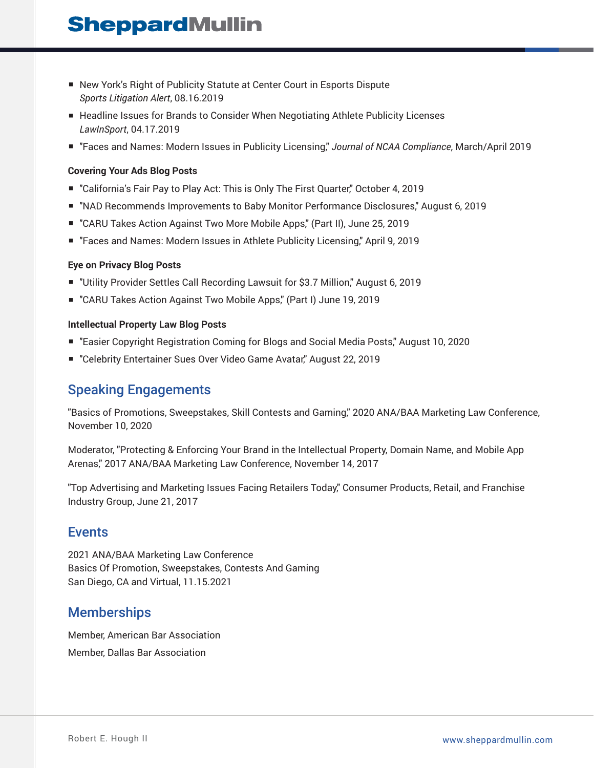- New York's Right of Publicity Statute at Center Court in Esports Dispute *Sports Litigation Alert*, 08.16.2019
- Headline Issues for Brands to Consider When Negotiating Athlete Publicity Licenses *LawInSport*, 04.17.2019
- "Faces and Names: Modern Issues in Publicity Licensing," *Journal of NCAA Compliance*, March/April 2019

### **Covering Your Ads Blog Posts**

- "California's Fair Pay to Play Act: This is Only The First Quarter," October 4, 2019
- "NAD Recommends Improvements to Baby Monitor Performance Disclosures," August 6, 2019
- "CARU Takes Action Against Two More Mobile Apps," (Part II), June 25, 2019
- "Faces and Names: Modern Issues in Athlete Publicity Licensing," April 9, 2019

#### **Eye on Privacy Blog Posts**

- "Utility Provider Settles Call Recording Lawsuit for \$3.7 Million," August 6, 2019
- "CARU Takes Action Against Two Mobile Apps," (Part I) June 19, 2019

#### **Intellectual Property Law Blog Posts**

- "Easier Copyright Registration Coming for Blogs and Social Media Posts," August 10, 2020
- "Celebrity Entertainer Sues Over Video Game Avatar," August 22, 2019

### Speaking Engagements

"Basics of Promotions, Sweepstakes, Skill Contests and Gaming," 2020 ANA/BAA Marketing Law Conference, November 10, 2020

Moderator, "Protecting & Enforcing Your Brand in the Intellectual Property, Domain Name, and Mobile App Arenas," 2017 ANA/BAA Marketing Law Conference, November 14, 2017

"Top Advertising and Marketing Issues Facing Retailers Today," Consumer Products, Retail, and Franchise Industry Group, June 21, 2017

### Events

2021 ANA/BAA Marketing Law Conference Basics Of Promotion, Sweepstakes, Contests And Gaming San Diego, CA and Virtual, 11.15.2021

## **Memberships**

Member, American Bar Association Member, Dallas Bar Association